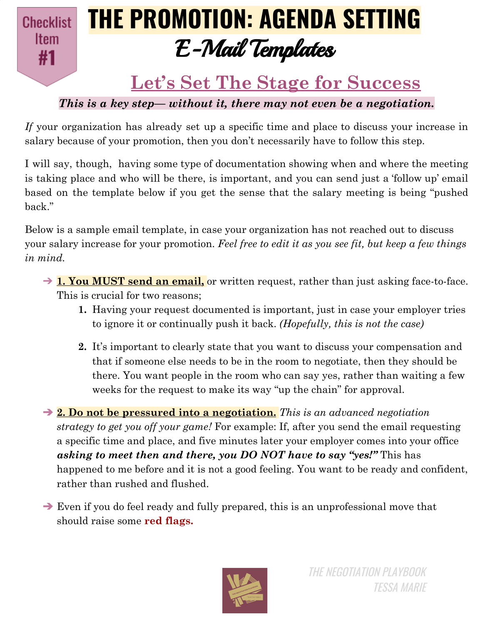**Checklist Item** #1

# **THE PROMOTION: AGENDA SETTING** E-Mail Templates

### **Let's Set The Stage for Success**

*This is a key step— without it, there may not even be a negotiation.*

*If* your organization has already set up a specific time and place to discuss your increase in salary because of your promotion, then you don't necessarily have to follow this step.

I will say, though, having some type of documentation showing when and where the meeting is taking place and who will be there, is important, and you can send just a 'follow up' email based on the template below if you get the sense that the salary meeting is being "pushed back."

Below is a sample email template, in case your organization has not reached out to discuss your salary increase for your promotion. *Feel free to edit it as you see fit, but keep a few things in mind.*

- → **1. You MUST send an email,** or written request, rather than just asking face-to-face. This is crucial for two reasons;
	- **1.** Having your request documented is important, just in case your employer tries to ignore it or continually push it back. *(Hopefully, this is not the case)*
	- **2.** It's important to clearly state that you want to discuss your compensation and that if someone else needs to be in the room to negotiate, then they should be there. You want people in the room who can say yes, rather than waiting a few weeks for the request to make its way "up the chain" for approval.

➔ **2. Do not be pressured into a negotiation.** *This is an advanced negotiation strategy to get you off your game!* For example: If, after you send the email requesting a specific time and place, and five minutes later your employer comes into your office *asking to meet then and there, you DO NOT have to say "yes!"* This has happened to me before and it is not a good feeling. You want to be ready and confident, rather than rushed and flushed.

➔ Even if you do feel ready and fully prepared, this is an unprofessional move that should raise some **red flags.**

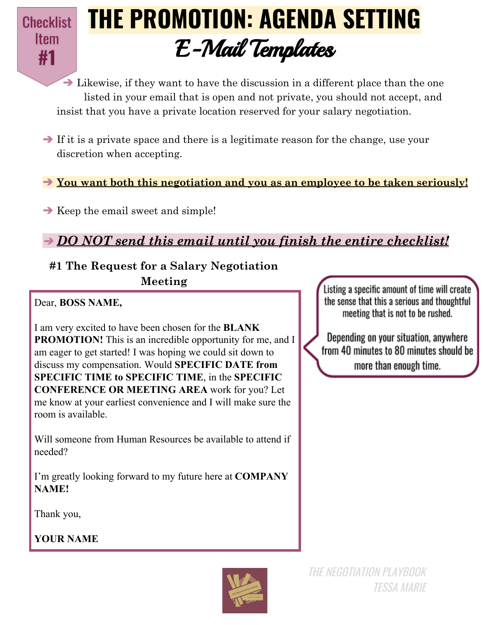

## **THE PROMOTION: AGENDA SETTING** E-Mail Templates

 $\rightarrow$  Likewise, if they want to have the discussion in a different place than the one listed in your email that is open and not private, you should not accept, and insist that you have a private location reserved for your salary negotiation.

➔ If it is a private space and there is a legitimate reason for the change, use your discretion when accepting.

➔ **You want both this negotiation and you as an employee to be taken seriously!**

 $\rightarrow$  Keep the email sweet and simple!

➔ *DO NOT send this email until you finish the entire checklist!*

#### **#1 The Request for a Salary Negotiation Meeting**

Dear, **BOSS NAME,**

I am very excited to have been chosen for the **BLANK PROMOTION!** This is an incredible opportunity for me, and I am eager to get started! I was hoping we could sit down to discuss my compensation. Would **SPECIFIC DATE from SPECIFIC TIME to SPECIFIC TIME**, in the **SPECIFIC CONFERENCE OR MEETING AREA** work for you? Let me know at your earliest convenience and I will make sure the room is available.

Will someone from Human Resources be available to attend if needed?

I'm greatly looking forward to my future here at **COMPANY NAME!**

Thank you,

**YOUR NAME**



Listing a specific amount of time will create the sense that this a serious and thoughtful meeting that is not to be rushed.

Depending on your situation, anywhere from 40 minutes to 80 minutes should be more than enough time.

THE NEGOTIATION PLAYBOOK TESSA MARIE